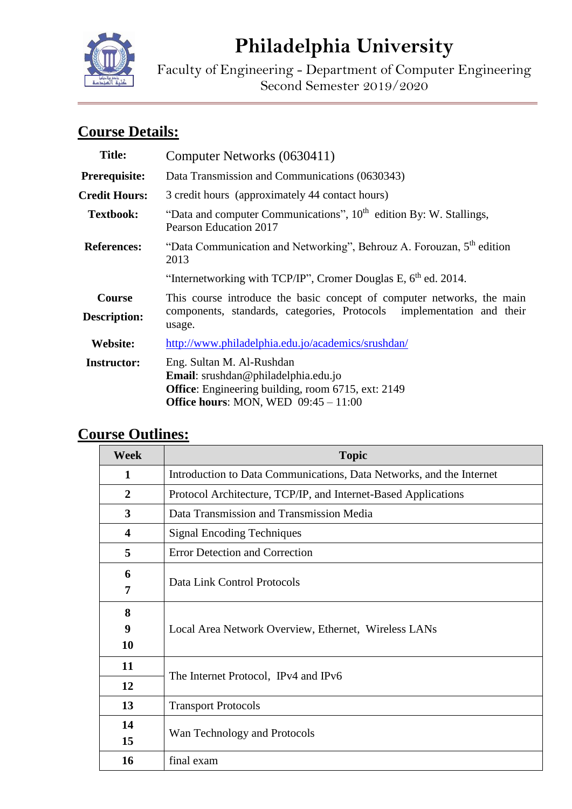

# **Philadelphia University**

Faculty of Engineering - Department of Computer Engineering Second Semester 2019/2020

# **Course Details:**

| "Data and computer Communications", $10th$ edition By: W. Stallings,                                                                                                    |  |
|-------------------------------------------------------------------------------------------------------------------------------------------------------------------------|--|
|                                                                                                                                                                         |  |
|                                                                                                                                                                         |  |
|                                                                                                                                                                         |  |
|                                                                                                                                                                         |  |
|                                                                                                                                                                         |  |
| This course introduce the basic concept of computer networks, the main<br>components, standards, categories, Protocols implementation and their<br>usage.               |  |
| http://www.philadelphia.edu.jo/academics/srushdan/                                                                                                                      |  |
| Eng. Sultan M. Al-Rushdan<br>Email: srushdan@philadelphia.edu.jo<br><b>Office:</b> Engineering building, room 6715, ext: 2149<br>Office hours: MON, WED $09:45 - 11:00$ |  |
| "Data Communication and Networking", Behrouz A. Forouzan, 5 <sup>th</sup> edition<br>2013<br>"Internetworking with TCP/IP", Cromer Douglas E, $6th$ ed. 2014.           |  |

# **Course Outlines:**

| <b>Week</b>             | <b>Topic</b>                                                         |  |  |  |
|-------------------------|----------------------------------------------------------------------|--|--|--|
| 1                       | Introduction to Data Communications, Data Networks, and the Internet |  |  |  |
| $\overline{2}$          | Protocol Architecture, TCP/IP, and Internet-Based Applications       |  |  |  |
| 3                       | Data Transmission and Transmission Media                             |  |  |  |
| $\overline{\mathbf{4}}$ | <b>Signal Encoding Techniques</b>                                    |  |  |  |
| 5                       | <b>Error Detection and Correction</b>                                |  |  |  |
| 6                       | Data Link Control Protocols                                          |  |  |  |
| 7                       |                                                                      |  |  |  |
| 8                       | Local Area Network Overview, Ethernet, Wireless LANs                 |  |  |  |
| 9                       |                                                                      |  |  |  |
| 10                      |                                                                      |  |  |  |
| 11                      | The Internet Protocol, IPv4 and IPv6                                 |  |  |  |
| 12                      |                                                                      |  |  |  |
| 13                      | <b>Transport Protocols</b>                                           |  |  |  |
| 14                      | Wan Technology and Protocols                                         |  |  |  |
| 15                      |                                                                      |  |  |  |
| 16                      | final exam                                                           |  |  |  |